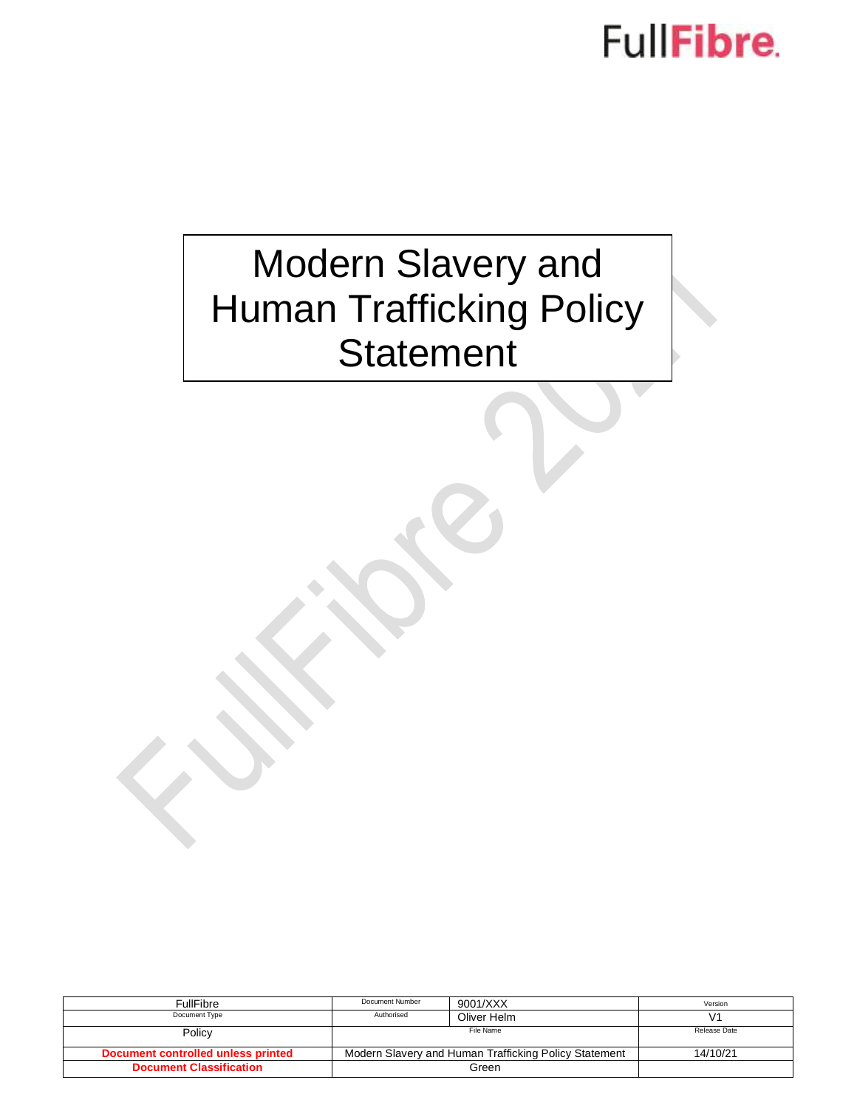## FullFibre.

### Modern Slavery and Human Trafficking Policy **Statement**

| <b>FullFibre</b>                   | Document Number                                       | 9001/XXX    | Version      |
|------------------------------------|-------------------------------------------------------|-------------|--------------|
| Document Type                      | Authorised                                            | Oliver Helm |              |
| Policy                             | File Name                                             |             | Release Date |
| Document controlled unless printed | Modern Slavery and Human Trafficking Policy Statement |             | 14/10/21     |
| <b>Document Classification</b>     |                                                       | Green       |              |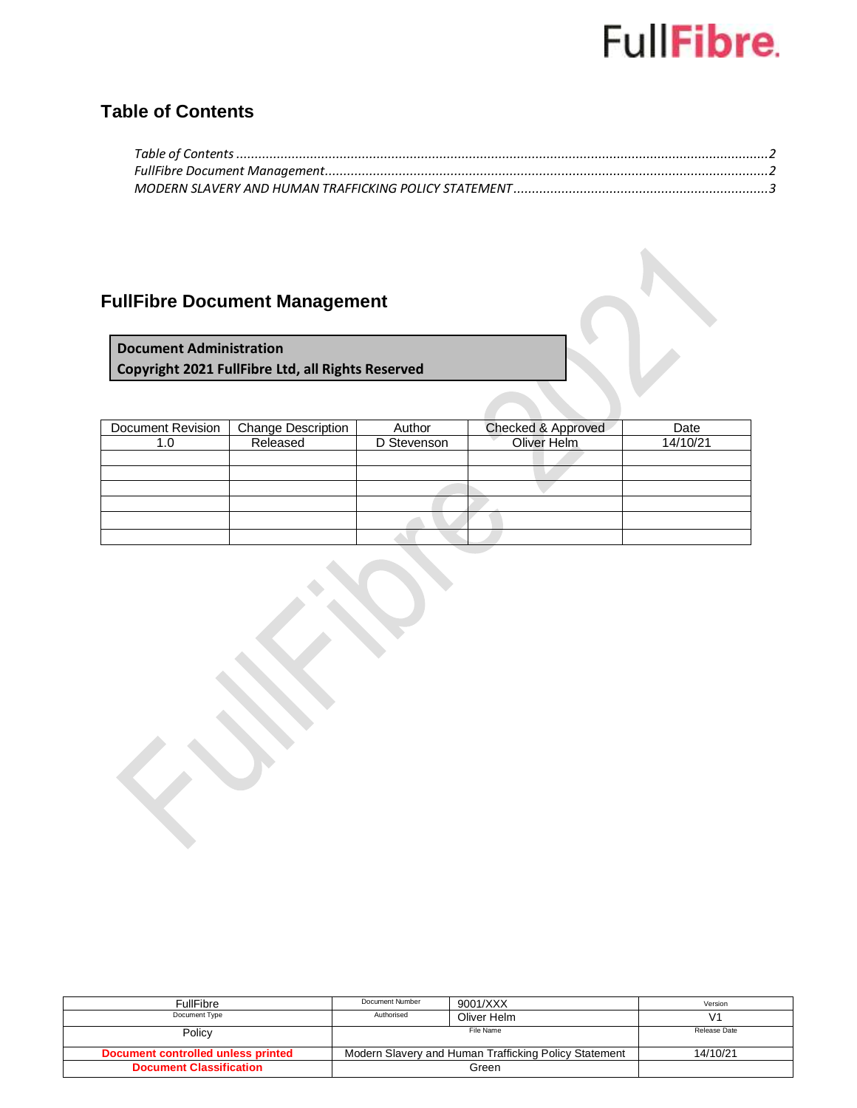# FullFibre.

### <span id="page-1-0"></span>**Table of Contents**

### <span id="page-1-1"></span>**FullFibre Document Management**

**Document Administration Copyright 2021 FullFibre Ltd, all Rights Reserved**

| Document Revision | <b>Change Description</b> | Author      | Checked & Approved | Date     |
|-------------------|---------------------------|-------------|--------------------|----------|
| 1.0               | Released                  | D Stevenson | Oliver Helm        | 14/10/21 |
|                   |                           |             |                    |          |
|                   |                           |             |                    |          |
|                   |                           |             |                    |          |
|                   |                           |             |                    |          |
|                   |                           |             |                    |          |
|                   |                           |             |                    |          |

| FullFibre                          | Document Number                                       | 9001/XXX    | Version      |
|------------------------------------|-------------------------------------------------------|-------------|--------------|
| Document Type                      | Authorised                                            |             |              |
|                                    |                                                       | Oliver Helm |              |
|                                    | File Name                                             |             | Release Date |
| Policy                             |                                                       |             |              |
|                                    |                                                       |             |              |
| Document controlled unless printed | Modern Slavery and Human Trafficking Policy Statement |             | 14/10/21     |
|                                    |                                                       |             |              |
| <b>Document Classification</b>     |                                                       | Green       |              |
|                                    |                                                       |             |              |